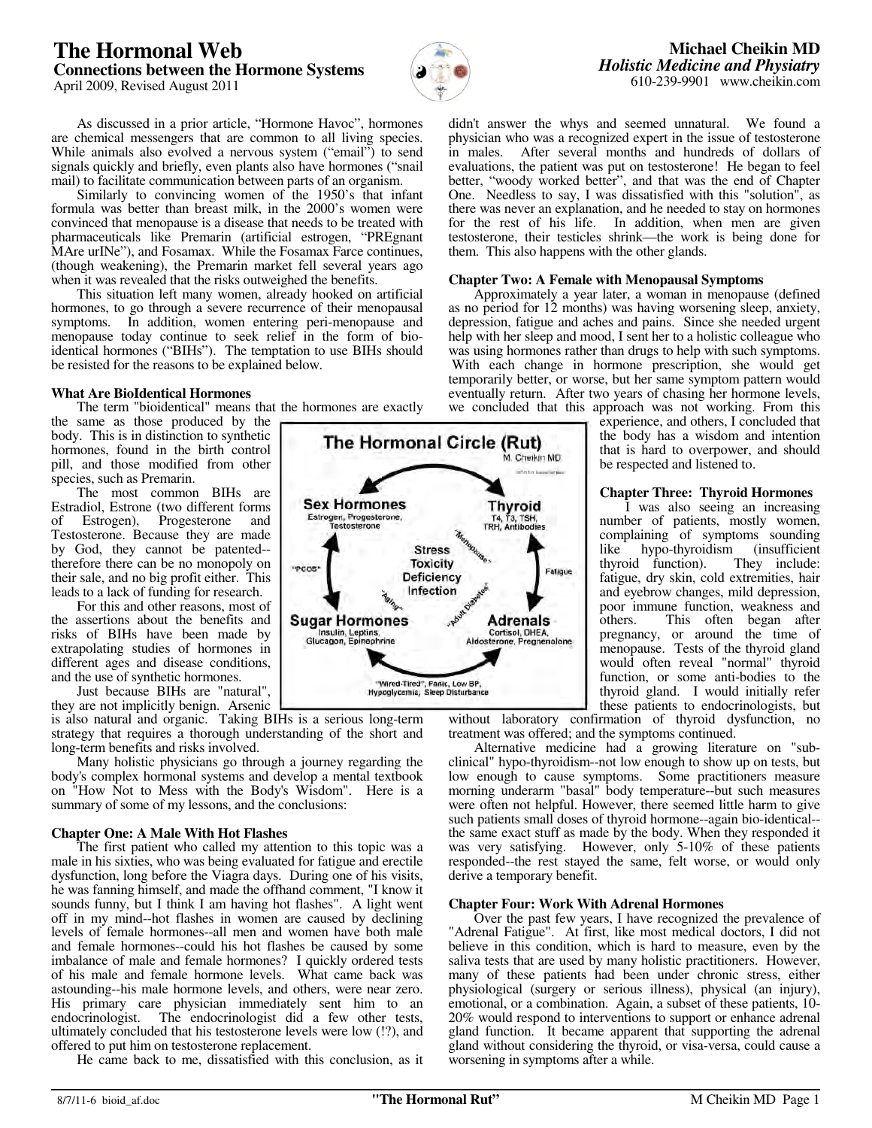# **The Hormonal Web Connections between the Hormone Systems**





The Hormonal Circle (Rut)

**Stress Toxicity** 

**Deficiency** Infection

"Wired-Tired", Panic, Low BP,<br>Hypoglycemia, Sleep Disturbance

**Sex Hormones** 

Estrogen, Progesterone,<br>Testosterone

**Sugar Hormones** 

Insulin, Leptins,<br>Glucagon, Epinephrine

"PCOS

M. Cheikin MD

Fatigue

Thyroid

T4, T3, TSH,<br>TRH, Antibodies

Adrenals

Cortisol, DHEA,<br>Aldosterone, Pregnenolone

 As discussed in a prior article, "Hormone Havoc", hormones are chemical messengers that are common to all living species. While animals also evolved a nervous system ("email") to send signals quickly and briefly, even plants also have hormones ("snail mail) to facilitate communication between parts of an organism.

 Similarly to convincing women of the 1950's that infant formula was better than breast milk, in the 2000's women were convinced that menopause is a disease that needs to be treated with pharmaceuticals like Premarin (artificial estrogen, "PREgnant MAre urINe"), and Fosamax. While the Fosamax Farce continues, (though weakening), the Premarin market fell several years ago when it was revealed that the risks outweighed the benefits.

 This situation left many women, already hooked on artificial hormones, to go through a severe recurrence of their menopausal symptoms. In addition, women entering peri-menopause and menopause today continue to seek relief in the form of bioidentical hormones ("BIHs"). The temptation to use BIHs should be resisted for the reasons to be explained below.

# **What Are BioIdentical Hormones**

The term "bioidentical" means that the hormones are exactly

the same as those produced by the body. This is in distinction to synthetic hormones, found in the birth control pill, and those modified from other species, such as Premarin.

 The most common BIHs are Estradiol, Estrone (two different forms of Estrogen), Progesterone and Testosterone. Because they are made by God, they cannot be patented- therefore there can be no monopoly on their sale, and no big profit either. This leads to a lack of funding for research.

 For this and other reasons, most of the assertions about the benefits and risks of BIHs have been made by extrapolating studies of hormones in different ages and disease conditions, and the use of synthetic hormones.

 Just because BIHs are "natural", they are not implicitly benign. Arsenic

is also natural and organic. Taking BIHs is a serious long-term strategy that requires a thorough understanding of the short and long-term benefits and risks involved.

 Many holistic physicians go through a journey regarding the body's complex hormonal systems and develop a mental textbook on "How Not to Mess with the Body's Wisdom". Here is a summary of some of my lessons, and the conclusions:

# **Chapter One: A Male With Hot Flashes**

The first patient who called my attention to this topic was a male in his sixties, who was being evaluated for fatigue and erectile dysfunction, long before the Viagra days. During one of his visits, he was fanning himself, and made the offhand comment, "I know it sounds funny, but I think I am having hot flashes". A light went off in my mind--hot flashes in women are caused by declining levels of female hormones--all men and women have both male and female hormones--could his hot flashes be caused by some imbalance of male and female hormones? I quickly ordered tests of his male and female hormone levels. What came back was astounding--his male hormone levels, and others, were near zero. His primary care physician immediately sent him to an endocrinologist. The endocrinologist did a few other tests, ultimately concluded that his testosterone levels were low (!?), and offered to put him on testosterone replacement.

He came back to me, dissatisfied with this conclusion, as it

didn't answer the whys and seemed unnatural. We found a physician who was a recognized expert in the issue of testosterone in males. After several months and hundreds of dollars of evaluations, the patient was put on testosterone! He began to feel better, "woody worked better", and that was the end of Chapter One. Needless to say, I was dissatisfied with this "solution", as there was never an explanation, and he needed to stay on hormones for the rest of his life. In addition, when men are given testosterone, their testicles shrink—the work is being done for them. This also happens with the other glands.

# **Chapter Two: A Female with Menopausal Symptoms**

 Approximately a year later, a woman in menopause (defined as no period for 12 months) was having worsening sleep, anxiety, depression, fatigue and aches and pains. Since she needed urgent help with her sleep and mood, I sent her to a holistic colleague who was using hormones rather than drugs to help with such symptoms. With each change in hormone prescription, she would get temporarily better, or worse, but her same symptom pattern would eventually return. After two years of chasing her hormone levels, we concluded that this approach was not working. From this

experience, and others, I concluded that the body has a wisdom and intention that is hard to overpower, and should be respected and listened to.

# **Chapter Three: Thyroid Hormones**

 I was also seeing an increasing number of patients, mostly women, complaining of symptoms sounding<br>like hypo-thyroidism (insufficient like hypo-thyroidism (insufficient thyroid function). They include: thyroid function). fatigue, dry skin, cold extremities, hair and eyebrow changes, mild depression, poor immune function, weakness and others. This often began after pregnancy, or around the time of menopause. Tests of the thyroid gland would often reveal "normal" thyroid function, or some anti-bodies to the thyroid gland. I would initially refer

these patients to endocrinologists, but without laboratory confirmation of thyroid dysfunction, no

treatment was offered; and the symptoms continued. Alternative medicine had a growing literature on "sub-

clinical" hypo-thyroidism--not low enough to show up on tests, but low enough to cause symptoms. Some practitioners measure morning underarm "basal" body temperature--but such measures were often not helpful. However, there seemed little harm to give such patients small doses of thyroid hormone--again bio-identical- the same exact stuff as made by the body. When they responded it was very satisfying. However, only 5-10% of these patients responded--the rest stayed the same, felt worse, or would only derive a temporary benefit.

# **Chapter Four: Work With Adrenal Hormones**

 Over the past few years, I have recognized the prevalence of "Adrenal Fatigue". At first, like most medical doctors, I did not believe in this condition, which is hard to measure, even by the saliva tests that are used by many holistic practitioners. However, many of these patients had been under chronic stress, either physiological (surgery or serious illness), physical (an injury), emotional, or a combination. Again, a subset of these patients, 10- 20% would respond to interventions to support or enhance adrenal gland function. It became apparent that supporting the adrenal gland without considering the thyroid, or visa-versa, could cause a worsening in symptoms after a while.